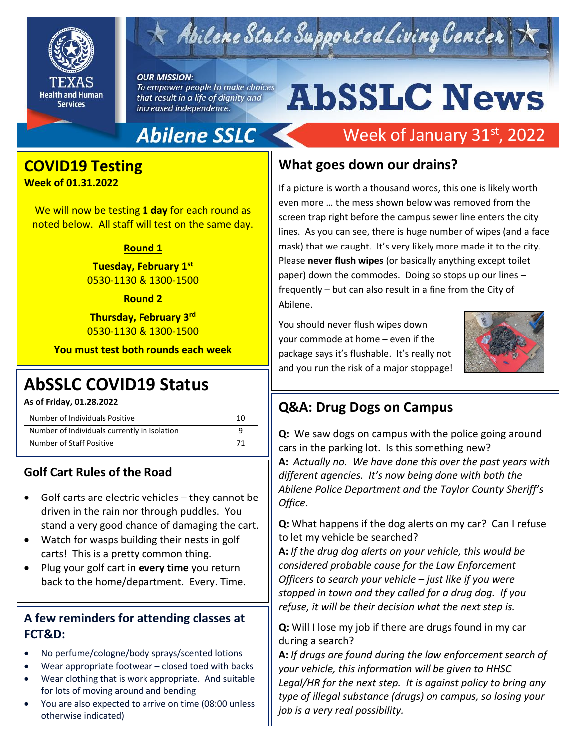

## Abilene State Supported Living Center

#### **OUR MISSION:**

To empower people to make choices that result in a life of dignity and increased independence.

## **Abilene SSLC**

### **COVID19 Testing**

**Week of 01.31.2022**

We will now be testing **1 day** for each round as noted below. All staff will test on the same day.

#### **Round 1**

**Tuesday, February 1st** 0530-1130 & 1300-1500

#### **Round 2**

**Thursday, February 3rd** 0530-1130 & 1300-1500

**You must test both rounds each week**

## **AbSSLC COVID19 Status**

**As of Friday, 01.28.2022**

| Number of Individuals Positive               | 10 |
|----------------------------------------------|----|
| Number of Individuals currently in Isolation |    |
| Number of Staff Positive                     |    |

#### **Golf Cart Rules of the Road**

- Golf carts are electric vehicles they cannot be driven in the rain nor through puddles. You stand a very good chance of damaging the cart.
- Watch for wasps building their nests in golf carts! This is a pretty common thing.
- Plug your golf cart in **every time** you return back to the home/department. Every. Time.

#### **A few reminders for attending classes at FCT&D:**

- No perfume/cologne/body sprays/scented lotions
- Wear appropriate footwear closed toed with backs • Wear clothing that is work appropriate. And suitable
- for lots of moving around and bending
- You are also expected to arrive on time (08:00 unless otherwise indicated)

# **AbSSLC News**

## Week of January 31st, 2022

#### **What goes down our drains?**

If a picture is worth a thousand words, this one is likely worth even more … the mess shown below was removed from the screen trap right before the campus sewer line enters the city lines. As you can see, there is huge number of wipes (and a face mask) that we caught. It's very likely more made it to the city. Please **never flush wipes** (or basically anything except toilet paper) down the commodes. Doing so stops up our lines – frequently – but can also result in a fine from the City of Abilene.

You should never flush wipes down your commode at home – even if the package says it's flushable. It's really not and you run the risk of a major stoppage!



#### **Q&A: Drug Dogs on Campus**

**Q:** We saw dogs on campus with the police going around cars in the parking lot. Is this something new? **A:** *Actually no. We have done this over the past years with different agencies. It's now being done with both the Abilene Police Department and the Taylor County Sheriff's Office*.

**Q:** What happens if the dog alerts on my car? Can I refuse to let my vehicle be searched?

**A:** *If the drug dog alerts on your vehicle, this would be considered probable cause for the Law Enforcement Officers to search your vehicle – just like if you were stopped in town and they called for a drug dog. If you refuse, it will be their decision what the next step is.*

**Q:** Will I lose my job if there are drugs found in my car during a search?

**A:** *If drugs are found during the law enforcement search of your vehicle, this information will be given to HHSC Legal/HR for the next step. It is against policy to bring any type of illegal substance (drugs) on campus, so losing your job is a very real possibility.*